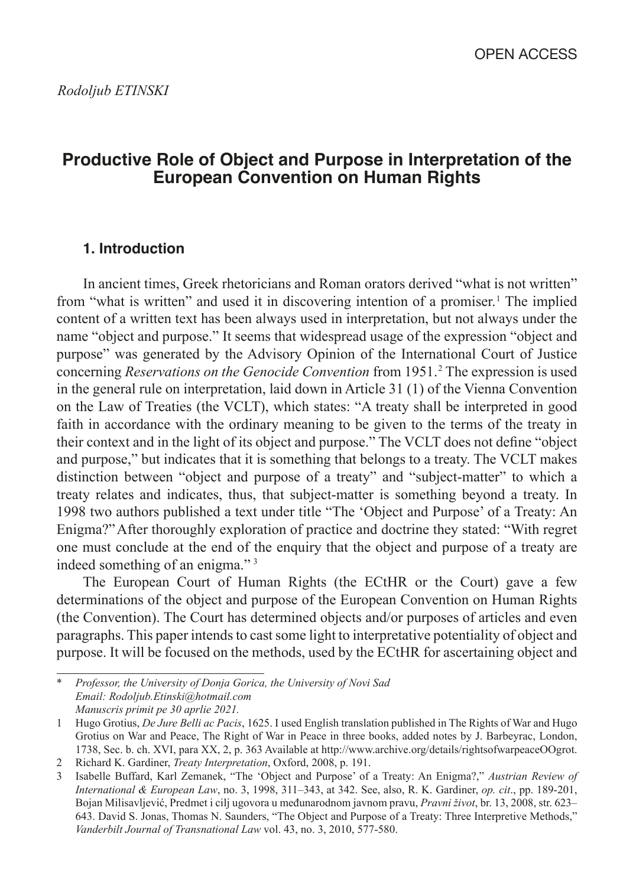# **Productive Role of Object and Purpose in Interpretation of the European Convention on Human Rights**

# **1. Introduction**

In ancient times, Greek rhetoricians and Roman orators derived "what is not written" from "what is written" and used it in discovering intention of a promiser.<sup>1</sup> The implied content of a written text has been always used in interpretation, but not always under the name "object and purpose." It seems that widespread usage of the expression "object and purpose" was generated by the Advisory Opinion of the International Court of Justice concerning *Reservations on the Genocide Convention* from 1951. 2 The expression is used in the general rule on interpretation, laid down in Article 31 (1) of the Vienna Convention on the Law of Treaties (the VCLT), which states: "A treaty shall be interpreted in good faith in accordance with the ordinary meaning to be given to the terms of the treaty in their context and in the light of its object and purpose." The VCLT does not define "object and purpose," but indicates that it is something that belongs to a treaty. The VCLT makes distinction between "object and purpose of a treaty" and "subject-matter" to which a treaty relates and indicates, thus, that subject-matter is something beyond a treaty. In 1998 two authors published a text under title "The 'Object and Purpose' of a Treaty: An Enigma?"After thoroughly exploration of practice and doctrine they stated: "With regret one must conclude at the end of the enquiry that the object and purpose of a treaty are indeed something of an enigma."<sup>3</sup>

The European Court of Human Rights (the ECtHR or the Court) gave a few determinations of the object and purpose of the European Convention on Human Rights (the Convention). The Court has determined objects and/or purposes of articles and even paragraphs. This paper intends to cast some light to interpretative potentiality of object and purpose. It will be focused on the methods, used by the ECtHR for ascertaining object and

<sup>\*</sup> *Professor, the University of Donja Gorica, the University of Novi Sad Email: [Rodoljub.Etinski@hotmail.com](mailto:Rodoljub.Etinski@hotmail.com) Manuscris primit pe 30 aprlie 2021.*

<sup>1</sup> Hugo Grotius, *De Jure Belli ac Pacis*, 1625. I used English translation published in The Rights of War and Hugo Grotius on War and Peace, The Right of War in Peace in three books, added notes by J. Barbeyrac, London, 1738, Sec. b. ch. XVI, para XX, 2, p. 363 Available at <http://www.archive.org/details/rightsofwarpeaceOOgrot>.

<sup>2</sup> Richard K. Gardiner, *Treaty Interpretation*, Oxford, 2008, p. 191.

<sup>3</sup> Isabelle Buffard, Karl Zemanek, "The 'Object and Purpose' of a Treaty: An Enigma?," *Austrian Review of International & European Law*, no. 3, 1998, 311–343, at 342. See, also, R. K. Gardiner, *op. cit*., pp. 189-201, Bojan Milisavljević, Predmet i cilj ugovora u međunarodnom javnom pravu, *Pravni život*, br. 13, 2008, str. 623– 643. David S. Jonas, Thomas N. Saunders, "The Object and Purpose of a Treaty: Three Interpretive Methods," *Vanderbilt Journal of Transnational Law* vol. 43, no. 3, 2010, 577-580.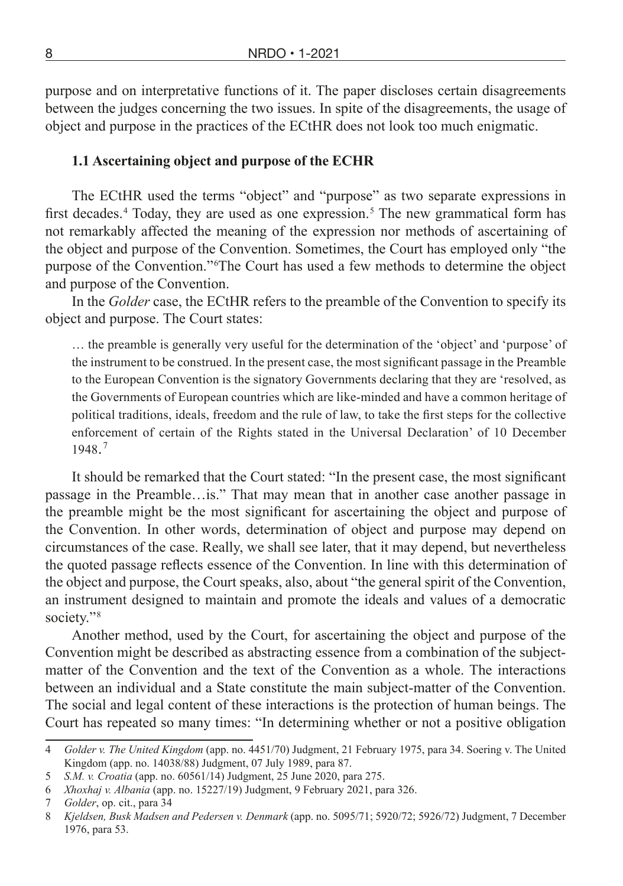purpose and on interpretative functions of it. The paper discloses certain disagreements between the judges concerning the two issues. In spite of the disagreements, the usage of object and purpose in the practices of the ECtHR does not look too much enigmatic.

#### **1.1 Ascertaining object and purpose of the ECHR**

The ECtHR used the terms "object" and "purpose" as two separate expressions in first decades.<sup>4</sup> Today, they are used as one expression.<sup>5</sup> The new grammatical form has not remarkably affected the meaning of the expression nor methods of ascertaining of the object and purpose of the Convention. Sometimes, the Court has employed only "the purpose of the Convention." 6The Court has used a few methods to determine the object and purpose of the Convention.

In the *Golder* case, the ECtHR refers to the preamble of the Convention to specify its object and purpose. The Court states:

… the preamble is generally very useful for the determination of the 'object' and 'purpose' of the instrument to be construed. In the present case, the most significant passage in the Preamble to the European Convention is the signatory Governments declaring that they are 'resolved, as the Governments of European countries which are like-minded and have a common heritage of political traditions, ideals, freedom and the rule of law, to take the first steps for the collective enforcement of certain of the Rights stated in the Universal Declaration' of 10 December 1948.  7

It should be remarked that the Court stated: "In the present case, the most significant passage in the Preamble…is." That may mean that in another case another passage in the preamble might be the most significant for ascertaining the object and purpose of the Convention. In other words, determination of object and purpose may depend on circumstances of the case. Really, we shall see later, that it may depend, but nevertheless the quoted passage reflects essence of the Convention. In line with this determination of the object and purpose, the Court speaks, also, about "the general spirit of the Convention, an instrument designed to maintain and promote the ideals and values of a democratic society."<sup>8</sup>

Another method, used by the Court, for ascertaining the object and purpose of the Convention might be described as abstracting essence from a combination of the subjectmatter of the Convention and the text of the Convention as a whole. The interactions between an individual and a State constitute the main subject-matter of the Convention. The social and legal content of these interactions is the protection of human beings. The Court has repeated so many times: "In determining whether or not a positive obligation

<sup>4</sup> *Golder v. The United Kingdom* (app. no. 4451/70) Judgment, 21 February 1975, para 34. Soering v. The United Kingdom (app. no. 14038/88) Judgment, 07 July 1989, para 87.

<sup>5</sup> *S.M. v. Croatia* (app. no. 60561/14) Judgment, 25 June 2020, para 275.

<sup>6</sup> *Xhoxhaj v. Albania* (app. no. 15227/19) Judgment, 9 February 2021, para 326.

<sup>7</sup> *Golder*, op. cit., para 34

<sup>8</sup> *Kjeldsen, Busk Madsen and Pedersen v. Denmark* (app. no. 5095/71; 5920/72; 5926/72) Judgment, 7 December 1976, para 53.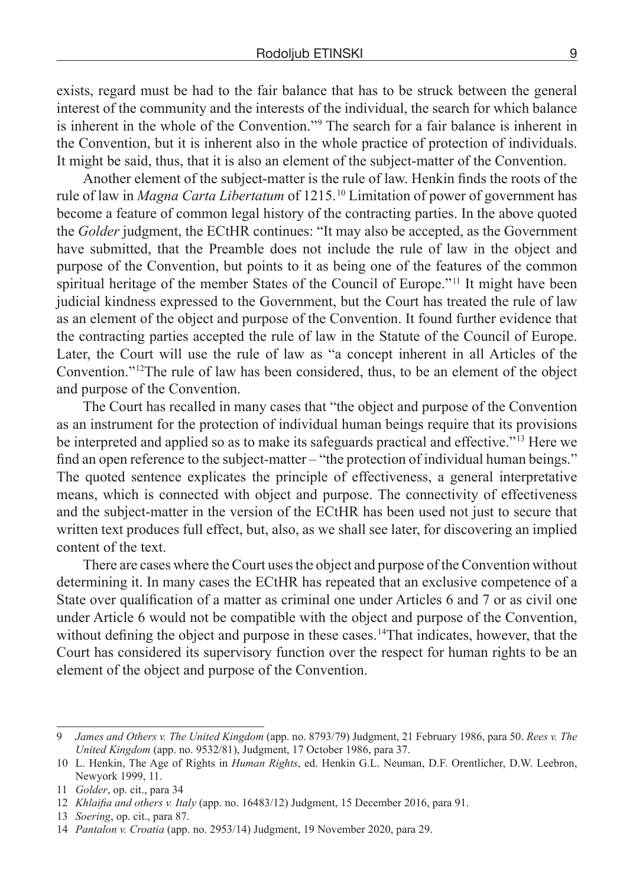exists, regard must be had to the fair balance that has to be struck between the general interest of the community and the interests of the individual, the search for which balance is inherent in the whole of the Convention." 9 The search for a fair balance is inherent in the Convention, but it is inherent also in the whole practice of protection of individuals. It might be said, thus, that it is also an element of the subject-matter of the Convention.

Another element of the subject-matter is the rule of law. Henkin finds the roots of the rule of law in *Magna Carta Libertatum* of 1215. 10 Limitation of power of government has become a feature of common legal history of the contracting parties. In the above quoted the *Golder* judgment, the ECtHR continues: "It may also be accepted, as the Government have submitted, that the Preamble does not include the rule of law in the object and purpose of the Convention, but points to it as being one of the features of the common spiritual heritage of the member States of the Council of Europe.<sup>"11</sup> It might have been judicial kindness expressed to the Government, but the Court has treated the rule of law as an element of the object and purpose of the Convention. It found further evidence that the contracting parties accepted the rule of law in the Statute of the Council of Europe. Later, the Court will use the rule of law as "a concept inherent in all Articles of the Convention."<sup>12</sup>The rule of law has been considered, thus, to be an element of the object and purpose of the Convention.

The Court has recalled in many cases that "the object and purpose of the Convention as an instrument for the protection of individual human beings require that its provisions be interpreted and applied so as to make its safeguards practical and effective." 13 Here we find an open reference to the subject-matter – "the protection of individual human beings." The quoted sentence explicates the principle of effectiveness, a general interpretative means, which is connected with object and purpose. The connectivity of effectiveness and the subject-matter in the version of the ECtHR has been used not just to secure that written text produces full effect, but, also, as we shall see later, for discovering an implied content of the text.

There are cases where the Court uses the object and purpose of the Convention without determining it. In many cases the ECtHR has repeated that an exclusive competence of a State over qualification of a matter as criminal one under Articles 6 and 7 or as civil one under Article 6 would not be compatible with the object and purpose of the Convention, without defining the object and purpose in these cases.<sup>14</sup>That indicates, however, that the Court has considered its supervisory function over the respect for human rights to be an element of the object and purpose of the Convention.

<sup>9</sup> *James and Others v. The United Kingdom* (app. no. 8793/79) Judgment, 21 February 1986, para 50. *Rees v. The United Kingdom* (app. no. 9532/81), Judgment, 17 October 1986, para 37.

<sup>10</sup> L. Henkin, The Age of Rights in *Human Rights*, ed. Henkin G.L. Neuman, D.F. Orentlicher, D.W. Leebron, Newyork 1999, 11.

<sup>11</sup> *Golder*, op. cit., para 34

<sup>12</sup> *Khlaifia and others v. Italy* (app. no. 16483/12) Judgment, 15 December 2016, para 91.

<sup>13</sup> *Soering*, op. cit., para 87.

<sup>14</sup> *Pantalon v. Croatia* (app. no. 2953/14) Judgment, 19 November 2020, para 29.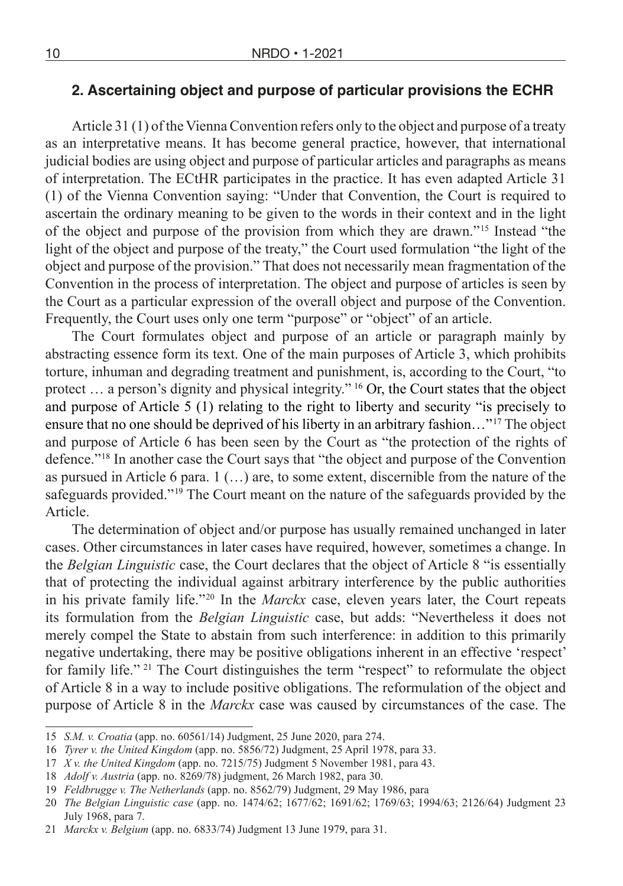### **2. Ascertaining object and purpose of particular provisions the ECHR**

Article 31 (1) of the Vienna Convention refers only to the object and purpose of a treaty as an interpretative means. It has become general practice, however, that international judicial bodies are using object and purpose of particular articles and paragraphs as means of interpretation. The ECtHR participates in the practice. It has even adapted Article 31 (1) of the Vienna Convention saying: "Under that Convention, the Court is required to ascertain the ordinary meaning to be given to the words in their context and in the light of the object and purpose of the provision from which they are drawn." 15 Instead "the light of the object and purpose of the treaty," the Court used formulation "the light of the object and purpose of the provision." That does not necessarily mean fragmentation of the Convention in the process of interpretation. The object and purpose of articles is seen by the Court as a particular expression of the overall object and purpose of the Convention. Frequently, the Court uses only one term "purpose" or "object" of an article.

The Court formulates object and purpose of an article or paragraph mainly by abstracting essence form its text. One of the main purposes of Article 3, which prohibits torture, inhuman and degrading treatment and punishment, is, according to the Court, "to protect ... a person's dignity and physical integrity." <sup>16</sup> Or, the Court states that the object and purpose of Article 5 (1) relating to the right to liberty and security "is precisely to ensure that no one should be deprived of his liberty in an arbitrary fashion..."<sup>17</sup> The object and purpose of Article 6 has been seen by the Court as "the protection of the rights of defence." 18 In another case the Court says that "the object and purpose of the Convention as pursued in Article 6 para. 1 (…) are, to some extent, discernible from the nature of the safeguards provided."<sup>19</sup> The Court meant on the nature of the safeguards provided by the Article.

The determination of object and/or purpose has usually remained unchanged in later cases. Other circumstances in later cases have required, however, sometimes a change. In the *Belgian Linguistic* case, the Court declares that the object of Article 8 "is essentially that of protecting the individual against arbitrary interference by the public authorities in his private family life." 20 In the *Marckx* case, eleven years later, the Court repeats its formulation from the *Belgian Linguistic* case, but adds: "Nevertheless it does not merely compel the State to abstain from such interference: in addition to this primarily negative undertaking, there may be positive obligations inherent in an effective 'respect' for family life." <sup>21</sup> The Court distinguishes the term "respect" to reformulate the object of Article 8 in a way to include positive obligations. The reformulation of the object and purpose of Article 8 in the *Marckx* case was caused by circumstances of the case. The

<sup>15</sup> *S.M. v. Croatia* (app. no. 60561/14) Judgment, 25 June 2020, para 274.

<sup>16</sup> *Tyrer v. the United Kingdom* (app. no. 5856/72) Judgment, 25 April 1978, para 33.

<sup>17</sup> *X v. the United Kingdom* (app. no. 7215/75) Judgment 5 November 1981, para 43.

<sup>18</sup> *Adolf v. Austria* (app. no. 8269/78) judgment, 26 March 1982, para 30.

<sup>19</sup> *Feldbrugge v. The Netherlands* (app. no. 8562/79) Judgment, 29 May 1986, para

<sup>20</sup> *The Belgian Linguistic case* (app. no. 1474/62; 1677/62; 1691/62; 1769/63; 1994/63; 2126/64) Judgment 23 July 1968, para 7.

<sup>21</sup> *Marckx v. Belgium* (app. no. 6833/74) Judgment 13 June 1979, para 31.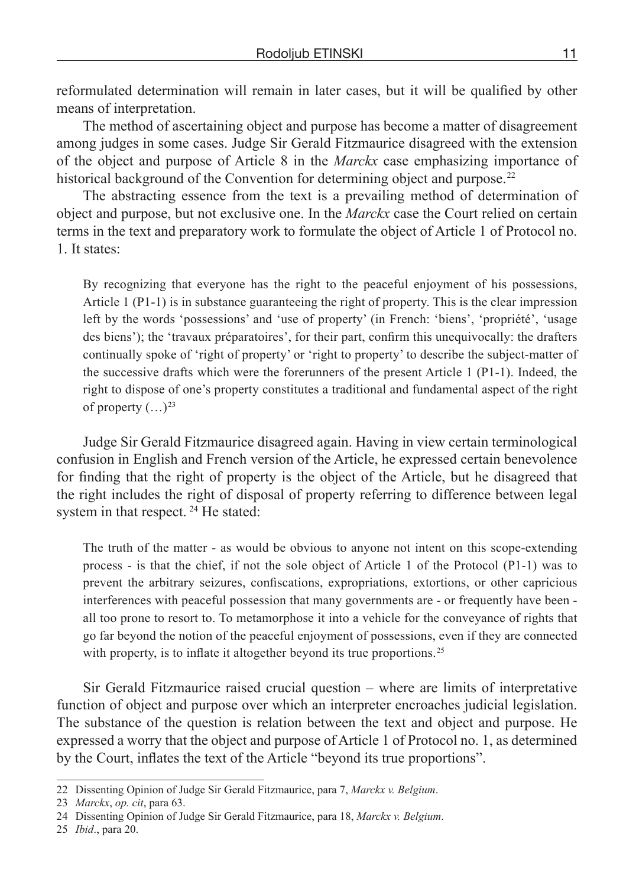reformulated determination will remain in later cases, but it will be qualified by other means of interpretation.

The method of ascertaining object and purpose has become a matter of disagreement among judges in some cases. Judge Sir Gerald Fitzmaurice disagreed with the extension of the object and purpose of Article 8 in the *Marckx* case emphasizing importance of historical background of the Convention for determining object and purpose.<sup>22</sup>

The abstracting essence from the text is a prevailing method of determination of object and purpose, but not exclusive one. In the *Marckx* case the Court relied on certain terms in the text and preparatory work to formulate the object of Article 1 of Protocol no. 1. It states:

By recognizing that everyone has the right to the peaceful enjoyment of his possessions, Article  $1$  (P1-1) is in substance guaranteeing the right of property. This is the clear impression left by the words 'possessions' and 'use of property' (in French: 'biens', 'propriété', 'usage des biens'); the 'travaux préparatoires', for their part, confirm this unequivocally: the drafters continually spoke of 'right of property' or 'right to property' to describe the subject-matter of the successive drafts which were the forerunners of the present Article 1 (P1-1). Indeed, the right to dispose of one's property constitutes a traditional and fundamental aspect of the right of property  $(\ldots)^{23}$ 

Judge Sir Gerald Fitzmaurice disagreed again. Having in view certain terminological confusion in English and French version of the Article, he expressed certain benevolence for finding that the right of property is the object of the Article, but he disagreed that the right includes the right of disposal of property referring to difference between legal system in that respect.  $24$  He stated:

The truth of the matter - as would be obvious to anyone not intent on this scope-extending process - is that the chief, if not the sole object of Article 1 of the Protocol (P1-1) was to prevent the arbitrary seizures, confiscations, expropriations, extortions, or other capricious interferences with peaceful possession that many governments are - or frequently have been all too prone to resort to. To metamorphose it into a vehicle for the conveyance of rights that go far beyond the notion of the peaceful enjoyment of possessions, even if they are connected with property, is to inflate it altogether beyond its true proportions.<sup>25</sup>

Sir Gerald Fitzmaurice raised crucial question – where are limits of interpretative function of object and purpose over which an interpreter encroaches judicial legislation. The substance of the question is relation between the text and object and purpose. He expressed a worry that the object and purpose of Article 1 of Protocol no. 1, as determined by the Court, inflates the text of the Article "beyond its true proportions".

<sup>22</sup> Dissenting Opinion of Judge Sir Gerald Fitzmaurice, para 7, *Marckx v. Belgium*.

<sup>23</sup> *Marckx*, *op. cit*, para 63.

<sup>24</sup> Dissenting Opinion of Judge Sir Gerald Fitzmaurice, para 18, *Marckx v. Belgium*.

<sup>25</sup> *Ibid*., para 20.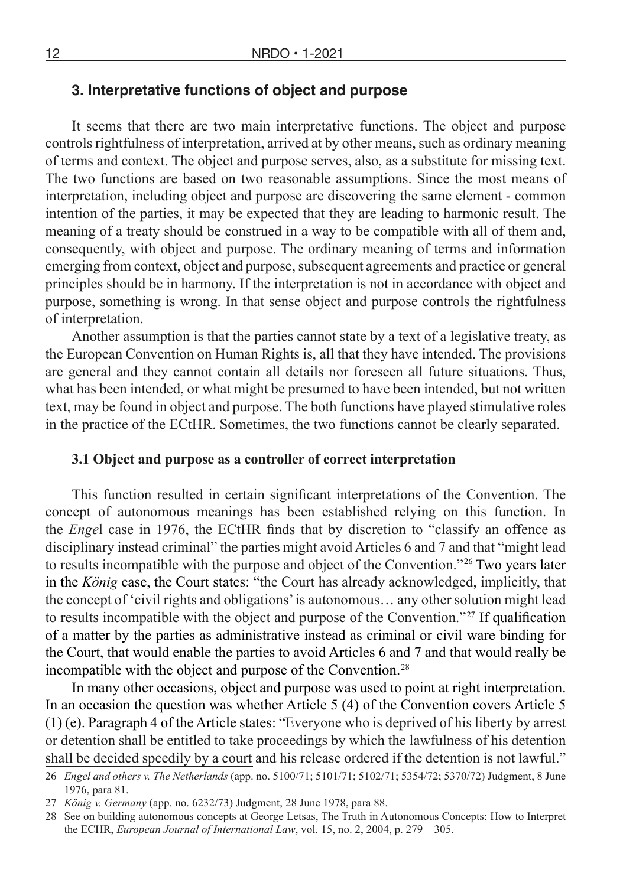### **3. Interpretative functions of object and purpose**

It seems that there are two main interpretative functions. The object and purpose controls rightfulness of interpretation, arrived at by other means, such as ordinary meaning of terms and context. The object and purpose serves, also, as a substitute for missing text. The two functions are based on two reasonable assumptions. Since the most means of interpretation, including object and purpose are discovering the same element - common intention of the parties, it may be expected that they are leading to harmonic result. The meaning of a treaty should be construed in a way to be compatible with all of them and, consequently, with object and purpose. The ordinary meaning of terms and information emerging from context, object and purpose, subsequent agreements and practice or general principles should be in harmony. If the interpretation is not in accordance with object and purpose, something is wrong. In that sense object and purpose controls the rightfulness of interpretation.

Another assumption is that the parties cannot state by a text of a legislative treaty, as the European Convention on Human Rights is, all that they have intended. The provisions are general and they cannot contain all details nor foreseen all future situations. Thus, what has been intended, or what might be presumed to have been intended, but not written text, may be found in object and purpose. The both functions have played stimulative roles in the practice of the ECtHR. Sometimes, the two functions cannot be clearly separated.

#### **3.1 Object and purpose as a controller of correct interpretation**

This function resulted in certain significant interpretations of the Convention. The concept of autonomous meanings has been established relying on this function. In the *Enge*l case in 1976, the ECtHR finds that by discretion to "classify an offence as disciplinary instead criminal" the parties might avoid Articles 6 and 7 and that "might lead to results incompatible with the purpose and object of the Convention."<sup>26</sup> Two years later in the *König* case, the Court states: "the Court has already acknowledged, implicitly, that the concept of 'civil rights and obligations' is autonomous… any other solution might lead to results incompatible with the object and purpose of the Convention."<sup>27</sup> If qualification of a matter by the parties as administrative instead as criminal or civil ware binding for the Court, that would enable the parties to avoid Articles 6 and 7 and that would really be incompatible with the object and purpose of the Convention. 28

In many other occasions, object and purpose was used to point at right interpretation. In an occasion the question was whether Article 5 (4) of the Convention covers Article 5 (1) (e). Paragraph 4 of the Article states: "Everyone who is deprived of his liberty by arrest or detention shall be entitled to take proceedings by which the lawfulness of his detention shall be decided speedily by a court and his release ordered if the detention is not lawful."

<sup>26</sup> *Engel and others v. The Netherlands* (app. no. 5100/71; 5101/71; 5102/71; 5354/72; 5370/72) Judgment, 8 June 1976, para 81.

<sup>27</sup> *König v. Germany* (app. no. 6232/73) Judgment, 28 June 1978, para 88.

<sup>28</sup> See on building autonomous concepts at George Letsas, The Truth in Autonomous Concepts: How to Interpret the ECHR, *European Journal of International Law*, vol. 15, no. 2, 2004, p. 279 – 305.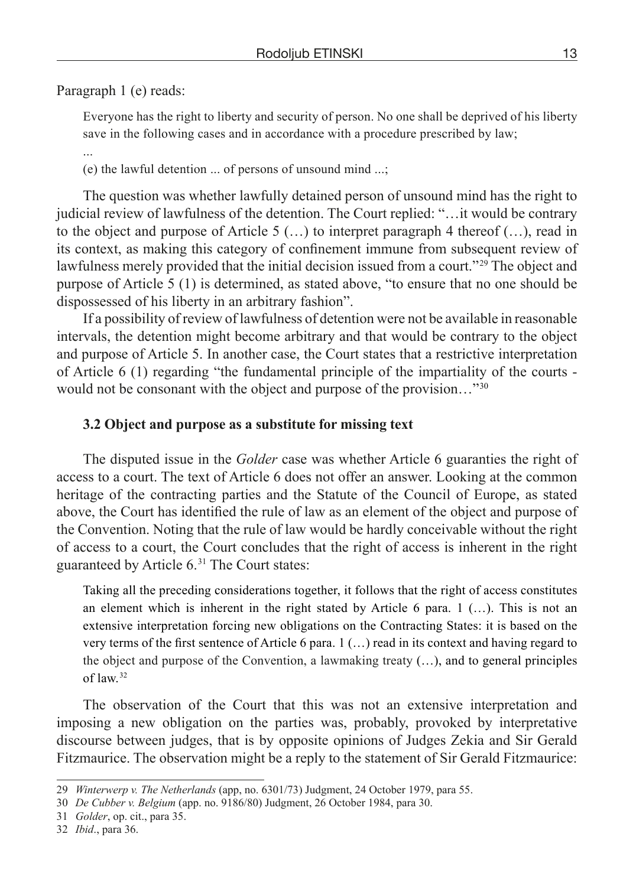Paragraph 1 (e) reads:

Everyone has the right to liberty and security of person. No one shall be deprived of his liberty save in the following cases and in accordance with a procedure prescribed by law;

...

(e) the lawful detention ... of persons of unsound mind ...;

The question was whether lawfully detained person of unsound mind has the right to judicial review of lawfulness of the detention. The Court replied: "…it would be contrary to the object and purpose of Article 5  $(\ldots)$  to interpret paragraph 4 thereof  $(\ldots)$ , read in its context, as making this category of confinement immune from subsequent review of lawfulness merely provided that the initial decision issued from a court.<sup>"29</sup> The object and purpose of Article 5 (1) is determined, as stated above, "to ensure that no one should be dispossessed of his liberty in an arbitrary fashion".

If a possibility of review of lawfulness of detention were not be available in reasonable intervals, the detention might become arbitrary and that would be contrary to the object and purpose of Article 5. In another case, the Court states that a restrictive interpretation of Article 6 (1) regarding "the fundamental principle of the impartiality of the courts would not be consonant with the object and purpose of the provision..."<sup>30</sup>

#### **3.2 Object and purpose as a substitute for missing text**

The disputed issue in the *Golder* case was whether Article 6 guaranties the right of access to a court. The text of Article 6 does not offer an answer. Looking at the common heritage of the contracting parties and the Statute of the Council of Europe, as stated above, the Court has identified the rule of law as an element of the object and purpose of the Convention. Noting that the rule of law would be hardly conceivable without the right of access to a court, the Court concludes that the right of access is inherent in the right guaranteed by Article 6. 31 The Court states:

Taking all the preceding considerations together, it follows that the right of access constitutes an element which is inherent in the right stated by Article 6 para. 1 (…). This is not an extensive interpretation forcing new obligations on the Contracting States: it is based on the very terms of the first sentence of Article 6 para. 1 (…) read in its context and having regard to the object and purpose of the Convention, a lawmaking treaty (…), and to general principles of law. 32

The observation of the Court that this was not an extensive interpretation and imposing a new obligation on the parties was, probably, provoked by interpretative discourse between judges, that is by opposite opinions of Judges Zekia and Sir Gerald Fitzmaurice. The observation might be a reply to the statement of Sir Gerald Fitzmaurice:

<sup>29</sup> *Winterwerp v. The Netherlands* (app, no. 6301/73) Judgment, 24 October 1979, para 55.

<sup>30</sup> *De Cubber v. Belgium* (app. no. 9186/80) Judgment, 26 October 1984, para 30.

<sup>31</sup> *Golder*, op. cit., para 35.

<sup>32</sup> *Ibid*., para 36.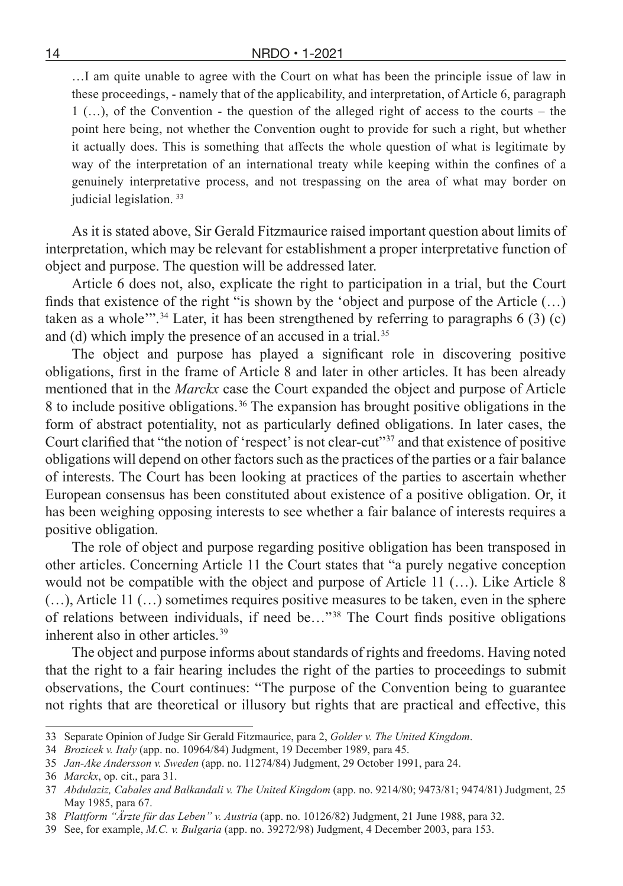…I am quite unable to agree with the Court on what has been the principle issue of law in these proceedings, - namely that of the applicability, and interpretation, of Article 6, paragraph 1 (…), of the Convention - the question of the alleged right of access to the courts – the point here being, not whether the Convention ought to provide for such a right, but whether it actually does. This is something that affects the whole question of what is legitimate by way of the interpretation of an international treaty while keeping within the confines of a genuinely interpretative process, and not trespassing on the area of what may border on judicial legislation.<sup>33</sup>

As it is stated above, Sir Gerald Fitzmaurice raised important question about limits of interpretation, which may be relevant for establishment a proper interpretative function of object and purpose. The question will be addressed later.

Article 6 does not, also, explicate the right to participation in a trial, but the Court finds that existence of the right "is shown by the 'object and purpose of the Article  $(...)$ taken as a whole<sup>"". 34</sup> Later, it has been strengthened by referring to paragraphs  $6(3)(c)$ and (d) which imply the presence of an accused in a trial.<sup>35</sup>

The object and purpose has played a significant role in discovering positive obligations, first in the frame of Article 8 and later in other articles. It has been already mentioned that in the *Marckx* case the Court expanded the object and purpose of Article 8 to include positive obligations. 36 The expansion has brought positive obligations in the form of abstract potentiality, not as particularly defined obligations. In later cases, the Court clarified that "the notion of 'respect' is not clear-cut"<sup>37</sup> and that existence of positive obligations will depend on other factors such as the practices of the parties or a fair balance of interests. The Court has been looking at practices of the parties to ascertain whether European consensus has been constituted about existence of a positive obligation. Or, it has been weighing opposing interests to see whether a fair balance of interests requires a positive obligation.

The role of object and purpose regarding positive obligation has been transposed in other articles. Concerning Article 11 the Court states that "a purely negative conception would not be compatible with the object and purpose of Article 11 (…). Like Article 8 (…), Article 11 (…) sometimes requires positive measures to be taken, even in the sphere of relations between individuals, if need be…" 38 The Court finds positive obligations inherent also in other articles. 39

The object and purpose informs about standards of rights and freedoms. Having noted that the right to a fair hearing includes the right of the parties to proceedings to submit observations, the Court continues: "The purpose of the Convention being to guarantee not rights that are theoretical or illusory but rights that are practical and effective, this

<sup>33</sup> Separate Opinion of Judge Sir Gerald Fitzmaurice, para 2, *Golder v. The United Kingdom*.

<sup>34</sup> *Brozicek v. Italy* (app. no. 10964/84) Judgment, 19 December 1989, para 45.

<sup>35</sup> *Jan-Ake Andersson v. Sweden* (app. no. 11274/84) Judgment, 29 October 1991, para 24.

<sup>36</sup> *Marckx*, op. cit., para 31.

<sup>37</sup> *Abdulaziz, Cabales and Balkandali v. The United Kingdom* (app. no. 9214/80; 9473/81; 9474/81) Judgment, 25 May 1985, para 67.

<sup>38</sup> *Plattform "Ärzte für das Leben" v. Austria* (app. no. 10126/82) Judgment, 21 June 1988, para 32.

<sup>39</sup> See, for example, *M.C. v. Bulgaria* (app. no. 39272/98) Judgment, 4 December 2003, para 153.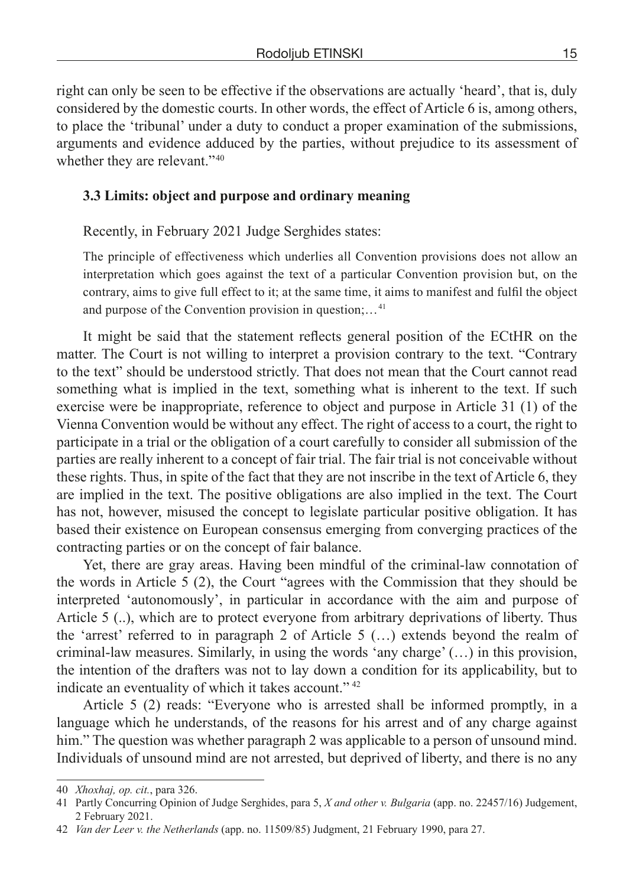right can only be seen to be effective if the observations are actually 'heard', that is, duly considered by the domestic courts. In other words, the effect of Article 6 is, among others, to place the 'tribunal' under a duty to conduct a proper examination of the submissions, arguments and evidence adduced by the parties, without prejudice to its assessment of whether they are relevant."<sup>40</sup>

# **3.3 Limits: object and purpose and ordinary meaning**

Recently, in February 2021 Judge Serghides states:

The principle of effectiveness which underlies all Convention provisions does not allow an interpretation which goes against the text of a particular Convention provision but, on the contrary, aims to give full effect to it; at the same time, it aims to manifest and fulfil the object and purpose of the Convention provision in question;… 41

It might be said that the statement reflects general position of the ECtHR on the matter. The Court is not willing to interpret a provision contrary to the text. "Contrary to the text" should be understood strictly. That does not mean that the Court cannot read something what is implied in the text, something what is inherent to the text. If such exercise were be inappropriate, reference to object and purpose in Article 31 (1) of the Vienna Convention would be without any effect. The right of access to a court, the right to participate in a trial or the obligation of a court carefully to consider all submission of the parties are really inherent to a concept of fair trial. The fair trial is not conceivable without these rights. Thus, in spite of the fact that they are not inscribe in the text of Article 6, they are implied in the text. The positive obligations are also implied in the text. The Court has not, however, misused the concept to legislate particular positive obligation. It has based their existence on European consensus emerging from converging practices of the contracting parties or on the concept of fair balance.

Yet, there are gray areas. Having been mindful of the criminal-law connotation of the words in Article 5 (2), the Court "agrees with the Commission that they should be interpreted 'autonomously', in particular in accordance with the aim and purpose of Article 5 (..), which are to protect everyone from arbitrary deprivations of liberty. Thus the 'arrest' referred to in paragraph 2 of Article 5 (…) extends beyond the realm of criminal-law measures. Similarly, in using the words 'any charge' (…) in this provision, the intention of the drafters was not to lay down a condition for its applicability, but to indicate an eventuality of which it takes account."<sup>42</sup>

Article 5 (2) reads: "Everyone who is arrested shall be informed promptly, in a language which he understands, of the reasons for his arrest and of any charge against him." The question was whether paragraph 2 was applicable to a person of unsound mind. Individuals of unsound mind are not arrested, but deprived of liberty, and there is no any

<sup>40</sup> *Xhoxhaj, op. cit.*, para 326.

<sup>41</sup> Partly Concurring Opinion of Judge Serghides, para 5, *X and other v. Bulgaria* (app. no. 22457/16) Judgement, 2 February 2021.

<sup>42</sup> *Van der Leer v. the Netherlands* (app. no. 11509/85) Judgment, 21 February 1990, para 27.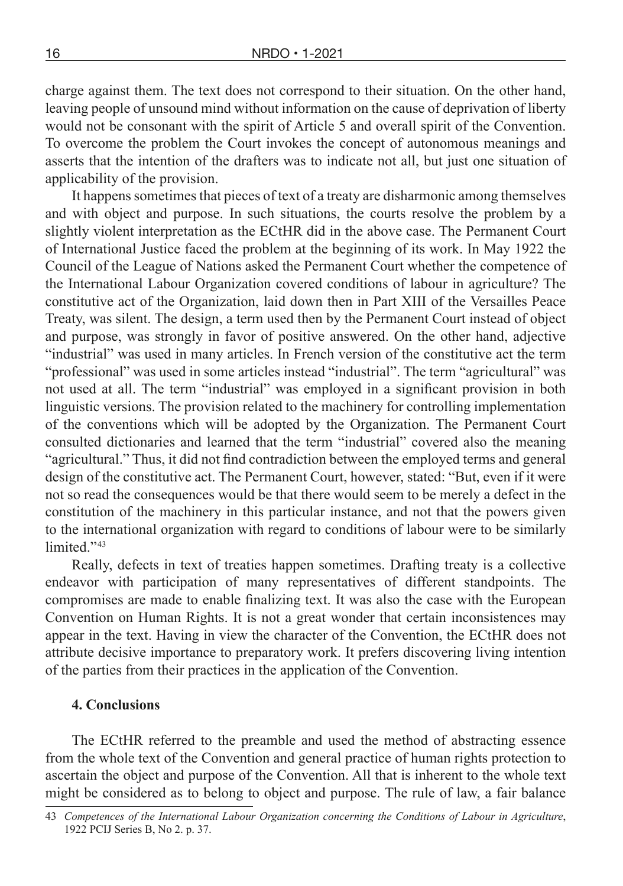charge against them. The text does not correspond to their situation. On the other hand, leaving people of unsound mind without information on the cause of deprivation of liberty would not be consonant with the spirit of Article 5 and overall spirit of the Convention. To overcome the problem the Court invokes the concept of autonomous meanings and asserts that the intention of the drafters was to indicate not all, but just one situation of applicability of the provision.

It happens sometimes that pieces of text of a treaty are disharmonic among themselves and with object and purpose. In such situations, the courts resolve the problem by a slightly violent interpretation as the ECtHR did in the above case. The Permanent Court of International Justice faced the problem at the beginning of its work. In May 1922 the Council of the League of Nations asked the Permanent Court whether the competence of the International Labour Organization covered conditions of labour in agriculture? The constitutive act of the Organization, laid down then in Part XIII of the Versailles Peace Treaty, was silent. The design, a term used then by the Permanent Court instead of object and purpose, was strongly in favor of positive answered. On the other hand, adjective "industrial" was used in many articles. In French version of the constitutive act the term "professional" was used in some articles instead "industrial". The term "agricultural" was not used at all. The term "industrial" was employed in a significant provision in both linguistic versions. The provision related to the machinery for controlling implementation of the conventions which will be adopted by the Organization. The Permanent Court consulted dictionaries and learned that the term "industrial" covered also the meaning "agricultural." Thus, it did not find contradiction between the employed terms and general design of the constitutive act. The Permanent Court, however, stated: "But, even if it were not so read the consequences would be that there would seem to be merely a defect in the constitution of the machinery in this particular instance, and not that the powers given to the international organization with regard to conditions of labour were to be similarly limited<sup>"43</sup>

Really, defects in text of treaties happen sometimes. Drafting treaty is a collective endeavor with participation of many representatives of different standpoints. The compromises are made to enable finalizing text. It was also the case with the European Convention on Human Rights. It is not a great wonder that certain inconsistences may appear in the text. Having in view the character of the Convention, the ECtHR does not attribute decisive importance to preparatory work. It prefers discovering living intention of the parties from their practices in the application of the Convention.

#### **4. Conclusions**

The ECtHR referred to the preamble and used the method of abstracting essence from the whole text of the Convention and general practice of human rights protection to ascertain the object and purpose of the Convention. All that is inherent to the whole text might be considered as to belong to object and purpose. The rule of law, a fair balance

<sup>43</sup> *Competences of the International Labour Organization concerning the Conditions of Labour in Agriculture*, 1922 PCIJ Series B, No 2. p. 37.